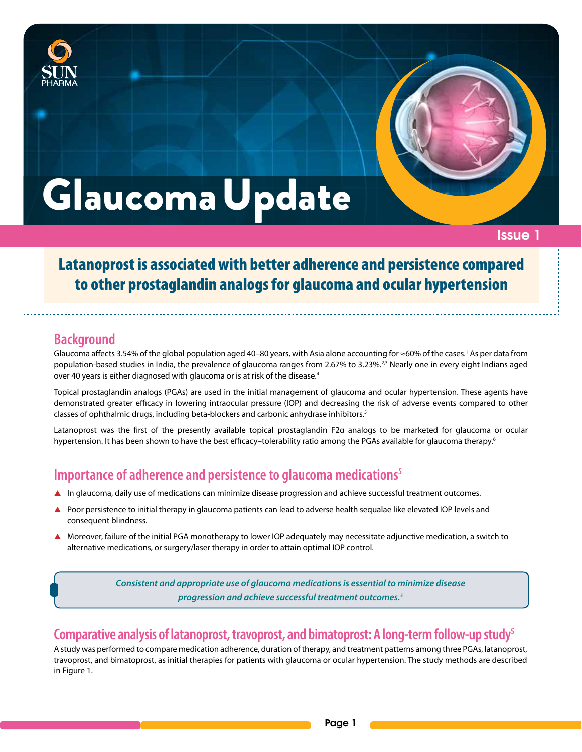



## Issue 1

# GlaucomaUpdate

Latanoprost is associated with better adherence and persistence compared to other prostaglandin analogs for glaucoma and ocular hypertension

# **Background**

Glaucoma affects 3.54% of the global population aged 40–80 years, with Asia alone accounting for ≈60% of the cases.<sup>1</sup> As per data from population-based studies in India, the prevalence of glaucoma ranges from 2.67% to 3.23%.<sup>2,3</sup> Nearly one in every eight Indians aged over 40 years is either diagnosed with glaucoma or is at risk of the disease.<sup>4</sup>

Topical prostaglandin analogs (PGAs) are used in the initial management of glaucoma and ocular hypertension. These agents have demonstrated greater efficacy in lowering intraocular pressure (IOP) and decreasing the risk of adverse events compared to other classes of ophthalmic drugs, including beta-blockers and carbonic anhydrase inhibitors.5

Latanoprost was the first of the presently available topical prostaglandin F2α analogs to be marketed for glaucoma or ocular hypertension. It has been shown to have the best efficacy–tolerability ratio among the PGAs available for glaucoma therapy.<sup>6</sup>

# **Importance of adherence and persistence to glaucoma medications5**

- $\blacktriangle$  In glaucoma, daily use of medications can minimize disease progression and achieve successful treatment outcomes.
- Poor persistence to initial therapy in glaucoma patients can lead to adverse health sequalae like elevated IOP levels and consequent blindness.
- ▲ Moreover, failure of the initial PGA monotherapy to lower IOP adequately may necessitate adjunctive medication, a switch to alternative medications, or surgery/laser therapy in order to attain optimal IOP control.

*Consistent and appropriate use of glaucoma medications is essential to minimize disease progression and achieve successful treatment outcomes.5*

# **Comparative analysis of latanoprost, travoprost, and bimatoprost: A long-term follow-up study5**

A study was performed to compare medication adherence, duration of therapy, and treatment patterns among three PGAs, latanoprost, travoprost, and bimatoprost, as initial therapies for patients with glaucoma or ocular hypertension. The study methods are described in Figure 1.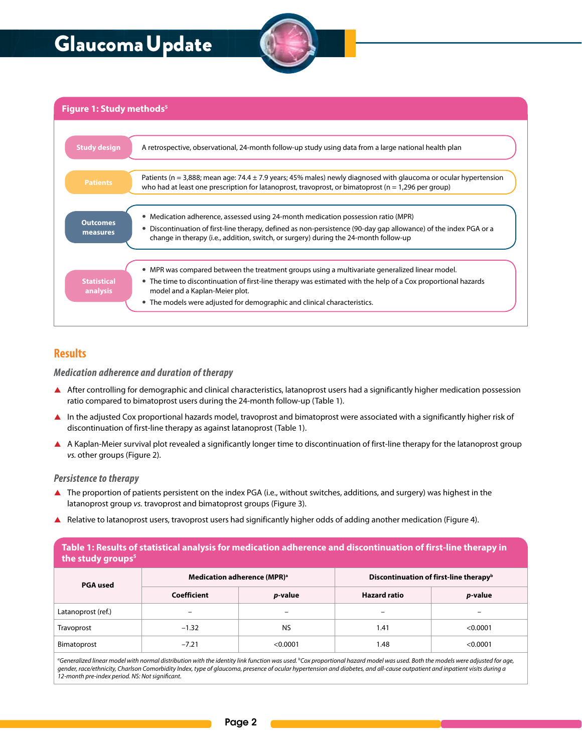# Glaucoma Update



**Figure 1: Study methods<sup>5</sup>** 

| <b>Study design</b>            | A retrospective, observational, 24-month follow-up study using data from a large national health plan                                                                                                                                                                                                                         |
|--------------------------------|-------------------------------------------------------------------------------------------------------------------------------------------------------------------------------------------------------------------------------------------------------------------------------------------------------------------------------|
| <b>Patients</b>                | Patients (n = 3,888; mean age: 74.4 $\pm$ 7.9 years; 45% males) newly diagnosed with glaucoma or ocular hypertension<br>who had at least one prescription for latanoprost, travoprost, or bimatoprost ( $n = 1,296$ per group)                                                                                                |
| <b>Outcomes</b><br>measures    | • Medication adherence, assessed using 24-month medication possession ratio (MPR)<br>Discontinuation of first-line therapy, defined as non-persistence (90-day gap allowance) of the index PGA or a<br>change in therapy (i.e., addition, switch, or surgery) during the 24-month follow-up                                   |
| <b>Statistical</b><br>analysis | • MPR was compared between the treatment groups using a multivariate generalized linear model.<br>• The time to discontinuation of first-line therapy was estimated with the help of a Cox proportional hazards<br>model and a Kaplan-Meier plot.<br>• The models were adjusted for demographic and clinical characteristics. |

## **Results**

#### *Medication adherence and duration of therapy*

- A After controlling for demographic and clinical characteristics, latanoprost users had a significantly higher medication possession ratio compared to bimatoprost users during the 24-month follow-up (Table 1).
- In the adjusted Cox proportional hazards model, travoprost and bimatoprost were associated with a significantly higher risk of discontinuation of first-line therapy as against latanoprost (Table 1).
- A Kaplan-Meier survival plot revealed a significantly longer time to discontinuation of first-line therapy for the latanoprost group *vs.* other groups (Figure 2).

#### *Persistence to therapy*

- ▲ The proportion of patients persistent on the index PGA (i.e., without switches, additions, and surgery) was highest in the latanoprost group *vs.* travoprost and bimatoprost groups (Figure 3).
- Relative to latanoprost users, travoprost users had significantly higher odds of adding another medication (Figure 4).

| Table 1: Results of statistical analysis for medication adherence and discontinuation of first-line therapy in<br>the study groups <sup>5</sup> |                                         |                 |                                                    |                 |  |  |
|-------------------------------------------------------------------------------------------------------------------------------------------------|-----------------------------------------|-----------------|----------------------------------------------------|-----------------|--|--|
| <b>PGA</b> used                                                                                                                                 | Medication adherence (MPR) <sup>a</sup> |                 | Discontinuation of first-line therapy <sup>b</sup> |                 |  |  |
|                                                                                                                                                 | Coefficient                             | <i>p</i> -value | <b>Hazard ratio</b>                                | <i>p</i> -value |  |  |
| Latanoprost (ref.)                                                                                                                              | -                                       |                 |                                                    |                 |  |  |
| Travoprost                                                                                                                                      | $-1.32$                                 | <b>NS</b>       | 1.41                                               | < 0.0001        |  |  |
| Bimatoprost                                                                                                                                     | $-7.21$                                 | < 0.0001        | 1.48                                               | < 0.0001        |  |  |
|                                                                                                                                                 |                                         |                 |                                                    |                 |  |  |

*a Generalized linear model with normal distribution with the identity link function was used. b Cox proportional hazard model was used. Both the models were adjusted for age, gender, race/ethnicity, Charlson Comorbidity Index, type of glaucoma, presence of ocular hypertension and diabetes, and all-cause outpatient and inpatient visits during a 12-month pre-index period. NS: Not significant.*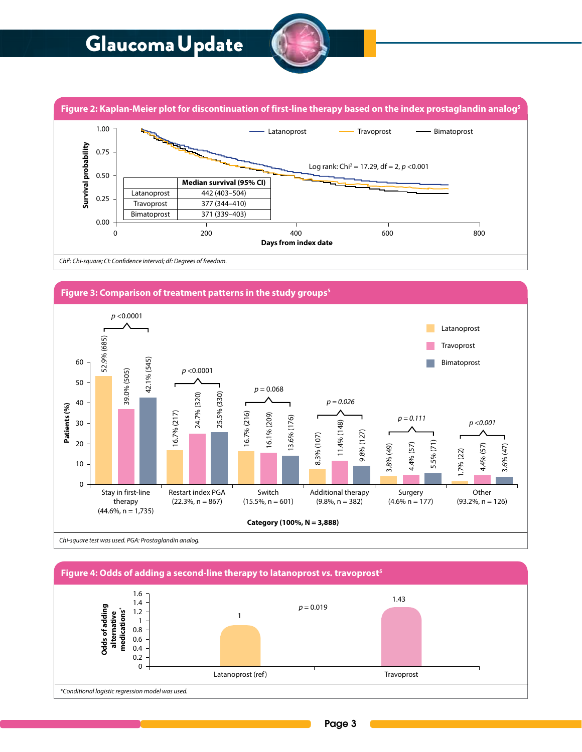# GlaucomaUpdate



**Figure 2: Kaplan-Meier plot for discontinuation of first-line therapy based on the index prostaglandin analog5**



*Chi2 : Chi-square; CI: Confidence interval; df: Degrees of freedom.*